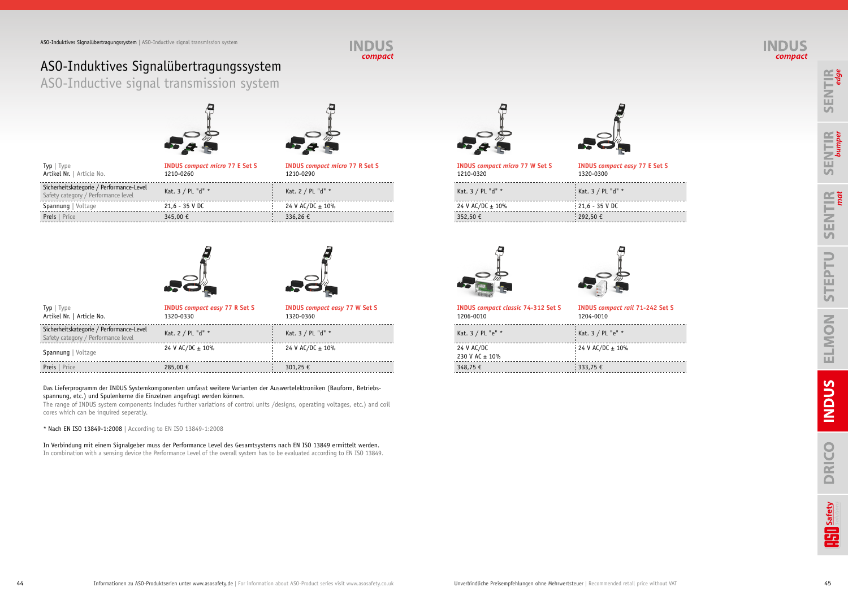







### ASO-Induktives Signalübertragungssystem ASO-Inductive signal transmission system







| <b>INDUS compact micro 77 W Set S</b> | <b>INDUS compact easy 77 E Set S</b> |
|---------------------------------------|--------------------------------------|
| 1210-0320                             | 1320-0300                            |
| Kat. 3 / PL "d" *                     | Kat. 3 / PL "d" *                    |
| 24 V AC/DC $\pm$ 10%                  | $21,6 - 35$ V DC                     |
| 352,50 €                              | 292,50€                              |
|                                       |                                      |





| Sicherheitskategorie / Performance-Level<br>Kat. 3 / PL "d" *<br>Kat. 3 / PL "d" *<br>Kat. 2 / PL "d" *<br>Safety category / Performance level<br>$21,6 - 35$ V DC<br>24 V AC/DC $\pm$ 10%<br>24 V AC/DC $\pm$ 10%<br>Spannung   Voltage<br>$21,6 - 35$ V DC<br>292,50 €<br><b>Preis</b>   Price<br>345,00 €<br>336,26€<br>352,50€ | Type   Type<br>Artikel Nr.   Article No. | <b>INDUS compact micro 77 E Set S</b><br>1210-0260 | <b>INDUS compact micro 77 R Set S</b><br>1210-0290 | <b>INDUS compact micro 77 W Set S</b><br>1210-0320 | <b>INDUS</b> compact<br>1320-0300 |
|------------------------------------------------------------------------------------------------------------------------------------------------------------------------------------------------------------------------------------------------------------------------------------------------------------------------------------|------------------------------------------|----------------------------------------------------|----------------------------------------------------|----------------------------------------------------|-----------------------------------|
|                                                                                                                                                                                                                                                                                                                                    |                                          |                                                    |                                                    |                                                    | Kat. 3 / PL "d" *                 |
|                                                                                                                                                                                                                                                                                                                                    |                                          |                                                    |                                                    |                                                    |                                   |
|                                                                                                                                                                                                                                                                                                                                    |                                          |                                                    |                                                    |                                                    |                                   |





| Typ   Type<br>Artikel Nr.   Article No.                                         | <b>INDUS compact easy 77 R Set S</b><br>1320-0330 | <b>INDUS compact easy 77 W Set S</b><br>1320-0360 | <b>INDUS compact classic 74-312 Set S</b><br>1206-0010 | <b>INDUS compact</b><br>1204-0010 |
|---------------------------------------------------------------------------------|---------------------------------------------------|---------------------------------------------------|--------------------------------------------------------|-----------------------------------|
| Sicherheitskategorie / Performance-Level<br>Safety category / Performance level | Kat. 2 / PL "d" *                                 | Kat. 3 / PL "d" *                                 | Kat. 3 / PL "e" *                                      | Kat. 3 / PL "e" *                 |
| Spannung   Voltage                                                              | 24 V AC/DC $\pm$ 10%                              | 24 V AC/DC $\pm$ 10%                              | 24 V AC/DC<br>230 V AC $\pm$ 10%                       | 24 V AC/DC $\pm$ 10               |
| Preis   Price                                                                   | 285,00 €                                          | 301.25 €                                          | 348,75 €                                               | $\frac{1}{2}$ 333,75 €            |

| <b>INDUS compact classic 74-312 Set S</b><br>1206-0010 | <b>INDUS compact rail 71-242 Set S</b><br>1204-0010 |
|--------------------------------------------------------|-----------------------------------------------------|
| Kat. 3 / PL "e" *                                      | Kat. 3 / PL "e" *                                   |
| 24 V AC/DC<br>230 V AC ± 10%                           | 24 V AC/DC $\pm$ 10%                                |
| 348,75 €                                               | 333,75 €                                            |

### Das Lieferprogramm der INDUS Systemkomponenten umfasst weitere Varianten der Auswertelektroniken (Bauform, Betriebsspannung, etc.) und Spulenkerne die Einzelnen angefragt werden können.

The range of INDUS system components includes further variations of control units /designs, operating voltages, etc.) and coil cores which can be inquired seperatly.

\* Nach EN ISO 13849-1:2008 | According to EN ISO 13849-1:2008

In Verbindung mit einem Signalgeber muss der Performance Level des Gesamtsystems nach EN ISO 13849 ermittelt werden. In combination with a sensing device the Performance Level of the overall system has to be evaluated according to EN ISO 13849.



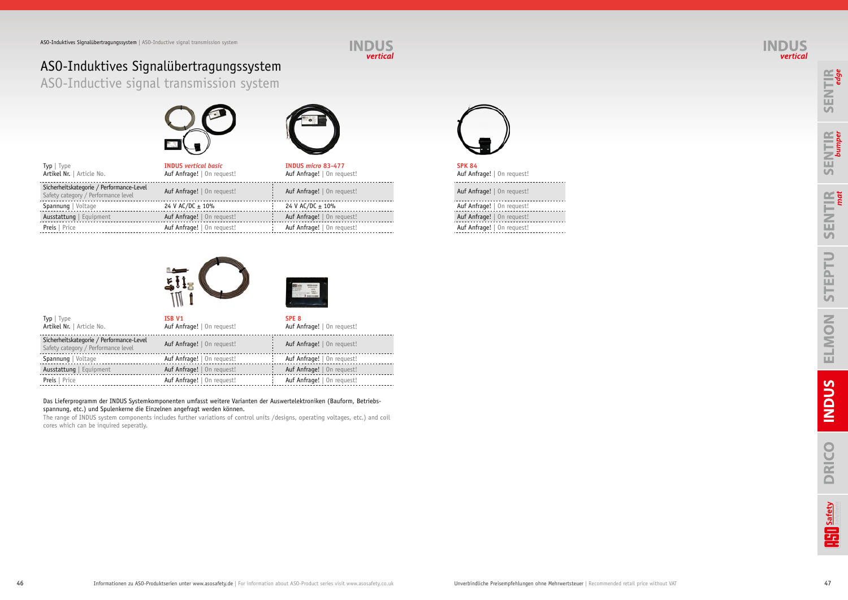





# ASO-Induktives Signalübertragungssystem ASO-Inductive signal transmission system







Auf Anfrage! | On request! . . . . . . . . . Preis | Price Auf Anfrage! | On request! Auf Anfrage! | On request! Auf Anfrage! | On request!

| <b>SPK 84</b><br>Auf Anfrage!   On request!                                                                                                                                                                                                                                                                                        |
|------------------------------------------------------------------------------------------------------------------------------------------------------------------------------------------------------------------------------------------------------------------------------------------------------------------------------------|
| Auf Anfrage!   On request!                                                                                                                                                                                                                                                                                                         |
| Auf Anfrage!   On request!                                                                                                                                                                                                                                                                                                         |
| $\mathbf{A}$ $\mathbf{A}$ $\mathbf{A}$ $\mathbf{A}$ $\mathbf{A}$ $\mathbf{A}$ $\mathbf{A}$ $\mathbf{A}$ $\mathbf{A}$ $\mathbf{A}$ $\mathbf{A}$ $\mathbf{A}$ $\mathbf{A}$ $\mathbf{A}$ $\mathbf{A}$ $\mathbf{A}$ $\mathbf{A}$ $\mathbf{A}$ $\mathbf{A}$ $\mathbf{A}$ $\mathbf{A}$ $\mathbf{A}$ $\mathbf{A}$ $\mathbf{A}$ $\mathbf{$ |

| Typ   Type<br>Artikel Nr.   Article No.                                         | <b>INDUS</b> vertical basic<br>Auf Anfrage!   On request! | INDUS micro 83-477<br>Auf Anfrage!   On request! | <b>SPK 84</b><br>Auf Anfrage!   On request! |
|---------------------------------------------------------------------------------|-----------------------------------------------------------|--------------------------------------------------|---------------------------------------------|
| Sicherheitskategorie / Performance-Level<br>Safety category / Performance level | Auf Anfrage!   On request!                                | Auf Anfrage!   On request!                       | Auf Anfrage!   On request!                  |
| Spannung   Voltage                                                              | 24 V AC/DC $\pm$ 10%                                      | 24 V AC/DC $\pm$ 10%                             | Auf Anfrage!   On request!                  |
| Ausstattung   Equipment                                                         | Auf Anfrage!   On request!                                | Auf Anfrage!   On request!                       | Auf Anfrage!   On request!                  |
| <b>Preis</b>   Price                                                            | Auf Anfrage!   On request!                                | Auf Anfrage!   On request!                       | Auf Anfrage!   On request!                  |
|                                                                                 |                                                           |                                                  |                                             |





| $\mathsf{Typ} \mid \mathsf{Type}$<br>Artikel Nr.   Article No.                  | ISB V1<br>Auf Anfrage!   On request! | SPE <sub>8</sub><br>Auf Anfrage!   On request! |
|---------------------------------------------------------------------------------|--------------------------------------|------------------------------------------------|
| Sicherheitskategorie / Performance-Level<br>Safety category / Performance level | Auf Anfrage!   On request!           | Auf Anfrage!   On request!                     |
| Spannung   Voltage                                                              | Auf Anfrage!   On request!           | Auf Anfrage!   On request!                     |
| Ausstattung   Equipment                                                         | Auf Anfrage!   On request!           | Auf Anfrage!   On request!                     |
| <b>Preis</b>   Price                                                            | Auf Anfrage!   On request!           | Auf Anfrage!   On request!                     |

### Das Lieferprogramm der INDUS Systemkomponenten umfasst weitere Varianten der Auswertelektroniken (Bauform, Betriebsspannung, etc.) und Spulenkerne die Einzelnen angefragt werden können.

The range of INDUS system components includes further variations of control units /designs, operating voltages, etc.) and coil cores which can be inquired seperatly.